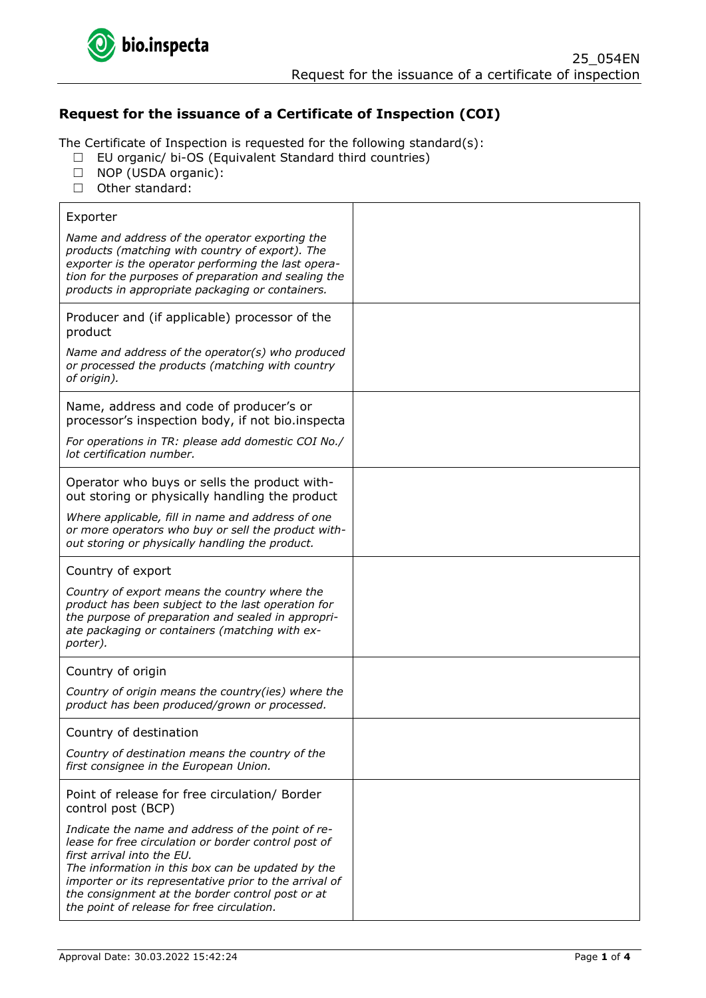

# **Request for the issuance of a Certificate of Inspection (COI)**

The Certificate of Inspection is requested for the following standard(s):

- ☐ EU organic/ bi-OS (Equivalent Standard third countries)
- ☐ NOP (USDA organic):
- ☐ Other standard:

| Exporter                                                                                                                                                                                                                                                                                                                                                 |  |
|----------------------------------------------------------------------------------------------------------------------------------------------------------------------------------------------------------------------------------------------------------------------------------------------------------------------------------------------------------|--|
| Name and address of the operator exporting the<br>products (matching with country of export). The<br>exporter is the operator performing the last opera-<br>tion for the purposes of preparation and sealing the<br>products in appropriate packaging or containers.                                                                                     |  |
| Producer and (if applicable) processor of the<br>product                                                                                                                                                                                                                                                                                                 |  |
| Name and address of the operator(s) who produced<br>or processed the products (matching with country<br>of origin).                                                                                                                                                                                                                                      |  |
| Name, address and code of producer's or<br>processor's inspection body, if not bio.inspecta                                                                                                                                                                                                                                                              |  |
| For operations in TR: please add domestic COI No./<br>lot certification number.                                                                                                                                                                                                                                                                          |  |
| Operator who buys or sells the product with-<br>out storing or physically handling the product                                                                                                                                                                                                                                                           |  |
| Where applicable, fill in name and address of one<br>or more operators who buy or sell the product with-<br>out storing or physically handling the product.                                                                                                                                                                                              |  |
| Country of export                                                                                                                                                                                                                                                                                                                                        |  |
| Country of export means the country where the<br>product has been subject to the last operation for<br>the purpose of preparation and sealed in appropri-<br>ate packaging or containers (matching with ex-<br>porter).                                                                                                                                  |  |
| Country of origin                                                                                                                                                                                                                                                                                                                                        |  |
| Country of origin means the country(ies) where the<br>product has been produced/grown or processed.                                                                                                                                                                                                                                                      |  |
| Country of destination                                                                                                                                                                                                                                                                                                                                   |  |
| Country of destination means the country of the<br>first consignee in the European Union.                                                                                                                                                                                                                                                                |  |
| Point of release for free circulation/ Border<br>control post (BCP)                                                                                                                                                                                                                                                                                      |  |
| Indicate the name and address of the point of re-<br>lease for free circulation or border control post of<br>first arrival into the EU.<br>The information in this box can be updated by the<br>importer or its representative prior to the arrival of<br>the consignment at the border control post or at<br>the point of release for free circulation. |  |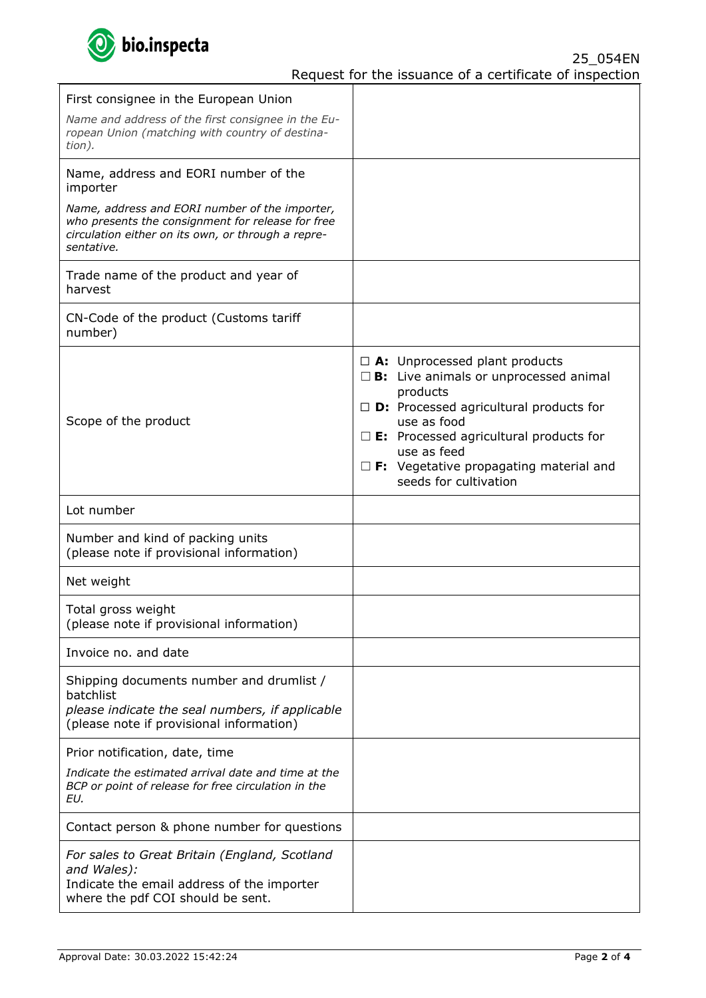

| First consignee in the European Union                                                                                                                                   |                                                                                                                                                                                                                                                                                                                                         |
|-------------------------------------------------------------------------------------------------------------------------------------------------------------------------|-----------------------------------------------------------------------------------------------------------------------------------------------------------------------------------------------------------------------------------------------------------------------------------------------------------------------------------------|
| Name and address of the first consignee in the Eu-<br>ropean Union (matching with country of destina-<br>tion).                                                         |                                                                                                                                                                                                                                                                                                                                         |
| Name, address and EORI number of the<br>importer                                                                                                                        |                                                                                                                                                                                                                                                                                                                                         |
| Name, address and EORI number of the importer,<br>who presents the consignment for release for free<br>circulation either on its own, or through a repre-<br>sentative. |                                                                                                                                                                                                                                                                                                                                         |
| Trade name of the product and year of<br>harvest                                                                                                                        |                                                                                                                                                                                                                                                                                                                                         |
| CN-Code of the product (Customs tariff<br>number)                                                                                                                       |                                                                                                                                                                                                                                                                                                                                         |
| Scope of the product                                                                                                                                                    | $\Box$ <b>A:</b> Unprocessed plant products<br>$\square$ <b>B</b> : Live animals or unprocessed animal<br>products<br>$\Box$ <b>D</b> : Processed agricultural products for<br>use as food<br>$\square$ E: Processed agricultural products for<br>use as feed<br>$\Box$ F: Vegetative propagating material and<br>seeds for cultivation |
|                                                                                                                                                                         |                                                                                                                                                                                                                                                                                                                                         |
| Lot number                                                                                                                                                              |                                                                                                                                                                                                                                                                                                                                         |
| Number and kind of packing units<br>(please note if provisional information)                                                                                            |                                                                                                                                                                                                                                                                                                                                         |
| Net weight                                                                                                                                                              |                                                                                                                                                                                                                                                                                                                                         |
| Total gross weight<br>(please note if provisional information)                                                                                                          |                                                                                                                                                                                                                                                                                                                                         |
| Invoice no, and date                                                                                                                                                    |                                                                                                                                                                                                                                                                                                                                         |
| Shipping documents number and drumlist /<br>batchlist<br>please indicate the seal numbers, if applicable<br>(please note if provisional information)                    |                                                                                                                                                                                                                                                                                                                                         |
| Prior notification, date, time                                                                                                                                          |                                                                                                                                                                                                                                                                                                                                         |
| Indicate the estimated arrival date and time at the<br>BCP or point of release for free circulation in the<br>EU.                                                       |                                                                                                                                                                                                                                                                                                                                         |
| Contact person & phone number for questions                                                                                                                             |                                                                                                                                                                                                                                                                                                                                         |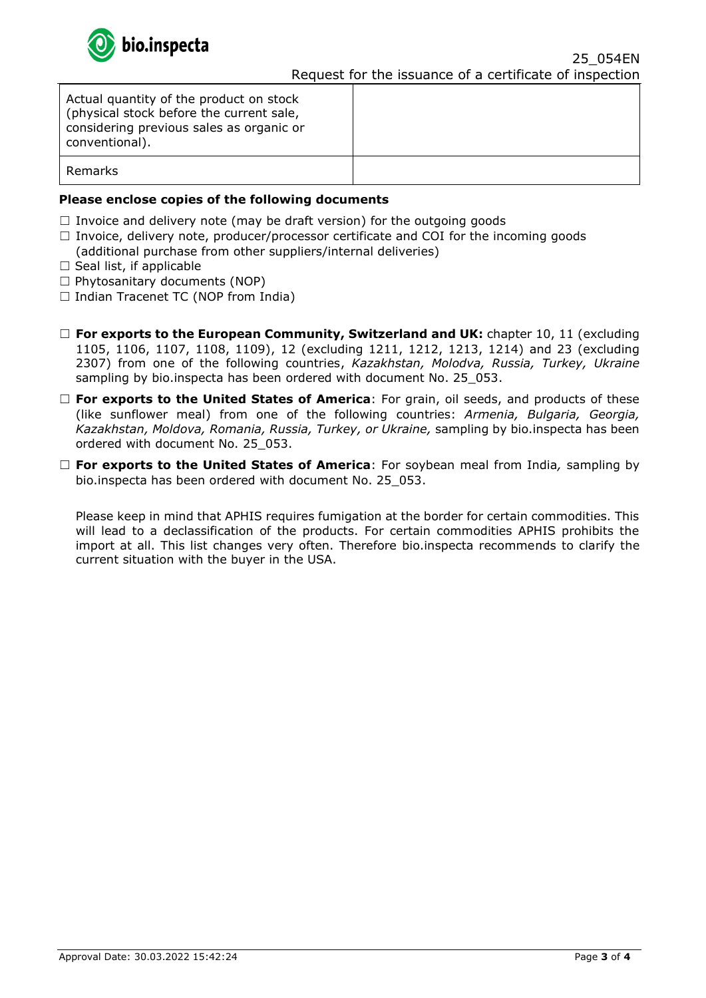

| Actual quantity of the product on stock<br>(physical stock before the current sale,<br>considering previous sales as organic or<br>conventional). |  |
|---------------------------------------------------------------------------------------------------------------------------------------------------|--|
| Remarks                                                                                                                                           |  |

## **Please enclose copies of the following documents**

- $\Box$  Invoice and delivery note (may be draft version) for the outgoing goods
- $\Box$  Invoice, delivery note, producer/processor certificate and COI for the incoming goods
- (additional purchase from other suppliers/internal deliveries)
- $\Box$  Seal list, if applicable
- $\Box$  Phytosanitary documents (NOP)
- ☐ Indian Tracenet TC (NOP from India)
- ☐ **For exports to the European Community, Switzerland and UK:** chapter 10, 11 (excluding 1105, 1106, 1107, 1108, 1109), 12 (excluding 1211, 1212, 1213, 1214) and 23 (excluding 2307) from one of the following countries, *Kazakhstan, Molodva, Russia, Turkey, Ukraine*  sampling by bio.inspecta has been ordered with document No. 25\_053.
- □ **For exports to the United States of America**: For grain, oil seeds, and products of these (like sunflower meal) from one of the following countries: *Armenia, Bulgaria, Georgia, Kazakhstan, Moldova, Romania, Russia, Turkey, or Ukraine,* sampling by bio.inspecta has been ordered with document No. 25\_053.
- ☐ **For exports to the United States of America**: For soybean meal from India*,* sampling by bio.inspecta has been ordered with document No. 25\_053.

Please keep in mind that APHIS requires fumigation at the border for certain commodities. This will lead to a declassification of the products. For certain commodities APHIS prohibits the import at all. This list changes very often. Therefore bio.inspecta recommends to clarify the current situation with the buyer in the USA.